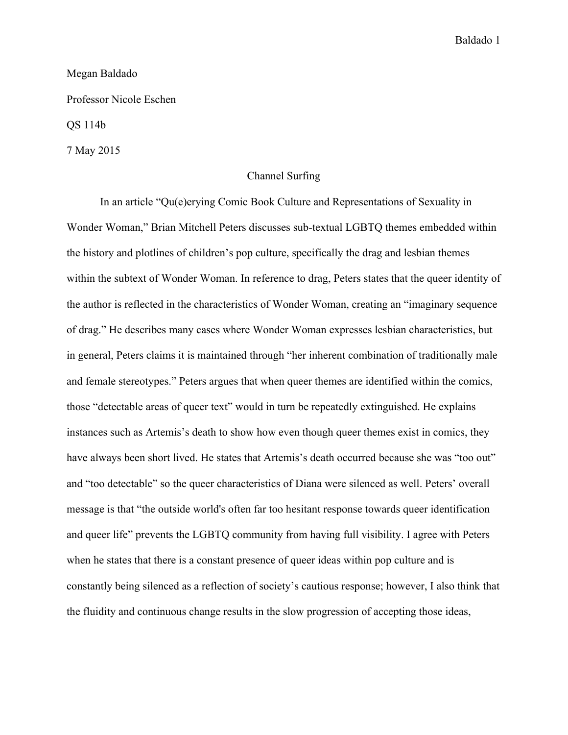## Megan Baldado

Professor Nicole Eschen

QS 114b

7 May 2015

## Channel Surfing

In an article "Qu(e)erying Comic Book Culture and Representations of Sexuality in Wonder Woman," Brian Mitchell Peters discusses sub-textual LGBTQ themes embedded within the history and plotlines of children's pop culture, specifically the drag and lesbian themes within the subtext of Wonder Woman. In reference to drag, Peters states that the queer identity of the author is reflected in the characteristics of Wonder Woman, creating an "imaginary sequence of drag." He describes many cases where Wonder Woman expresses lesbian characteristics, but in general, Peters claims it is maintained through "her inherent combination of traditionally male and female stereotypes." Peters argues that when queer themes are identified within the comics, those "detectable areas of queer text" would in turn be repeatedly extinguished. He explains instances such as Artemis's death to show how even though queer themes exist in comics, they have always been short lived. He states that Artemis's death occurred because she was "too out" and "too detectable" so the queer characteristics of Diana were silenced as well. Peters' overall message is that "the outside world's often far too hesitant response towards queer identification and queer life" prevents the LGBTQ community from having full visibility. I agree with Peters when he states that there is a constant presence of queer ideas within pop culture and is constantly being silenced as a reflection of society's cautious response; however, I also think that the fluidity and continuous change results in the slow progression of accepting those ideas,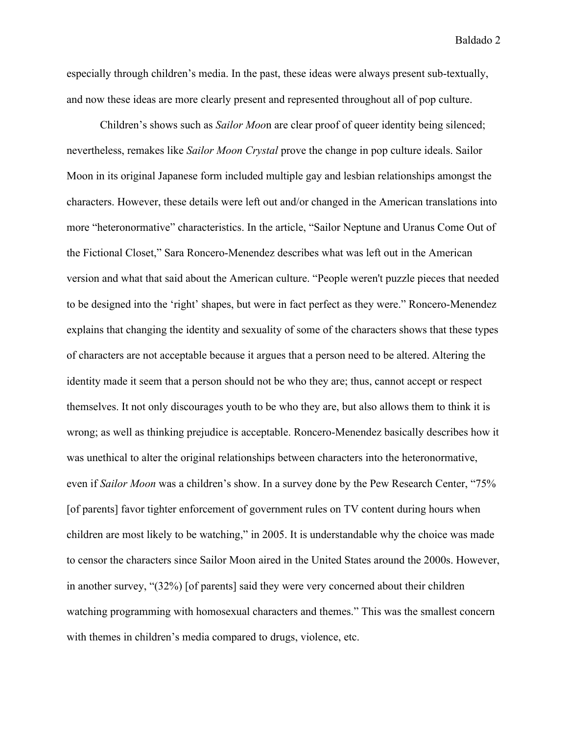especially through children's media. In the past, these ideas were always present sub-textually, and now these ideas are more clearly present and represented throughout all of pop culture.

Children's shows such as *Sailor Moo*n are clear proof of queer identity being silenced; nevertheless, remakes like *Sailor Moon Crystal* prove the change in pop culture ideals. Sailor Moon in its original Japanese form included multiple gay and lesbian relationships amongst the characters. However, these details were left out and/or changed in the American translations into more "heteronormative" characteristics. In the article, "Sailor Neptune and Uranus Come Out of the Fictional Closet," Sara Roncero-Menendez describes what was left out in the American version and what that said about the American culture. "People weren't puzzle pieces that needed to be designed into the 'right' shapes, but were in fact perfect as they were." Roncero-Menendez explains that changing the identity and sexuality of some of the characters shows that these types of characters are not acceptable because it argues that a person need to be altered. Altering the identity made it seem that a person should not be who they are; thus, cannot accept or respect themselves. It not only discourages youth to be who they are, but also allows them to think it is wrong; as well as thinking prejudice is acceptable. Roncero-Menendez basically describes how it was unethical to alter the original relationships between characters into the heteronormative, even if *Sailor Moon* was a children's show. In a survey done by the Pew Research Center, "75% [of parents] favor tighter enforcement of government rules on TV content during hours when children are most likely to be watching," in 2005. It is understandable why the choice was made to censor the characters since Sailor Moon aired in the United States around the 2000s. However, in another survey, "(32%) [of parents] said they were very concerned about their children watching programming with homosexual characters and themes." This was the smallest concern with themes in children's media compared to drugs, violence, etc.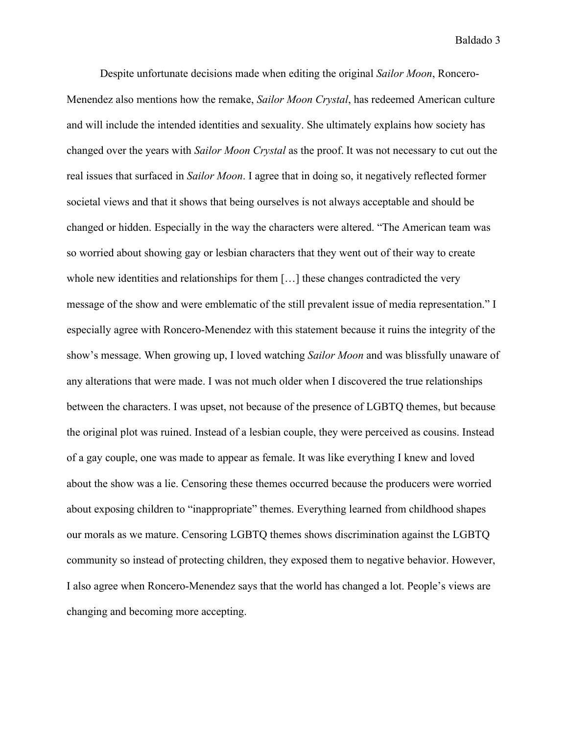Despite unfortunate decisions made when editing the original *Sailor Moon*, Roncero-Menendez also mentions how the remake, *Sailor Moon Crystal*, has redeemed American culture and will include the intended identities and sexuality. She ultimately explains how society has changed over the years with *Sailor Moon Crystal* as the proof. It was not necessary to cut out the real issues that surfaced in *Sailor Moon*. I agree that in doing so, it negatively reflected former societal views and that it shows that being ourselves is not always acceptable and should be changed or hidden. Especially in the way the characters were altered. "The American team was so worried about showing gay or lesbian characters that they went out of their way to create whole new identities and relationships for them [...] these changes contradicted the very message of the show and were emblematic of the still prevalent issue of media representation." I especially agree with Roncero-Menendez with this statement because it ruins the integrity of the show's message. When growing up, I loved watching *Sailor Moon* and was blissfully unaware of any alterations that were made. I was not much older when I discovered the true relationships between the characters. I was upset, not because of the presence of LGBTQ themes, but because the original plot was ruined. Instead of a lesbian couple, they were perceived as cousins. Instead of a gay couple, one was made to appear as female. It was like everything I knew and loved about the show was a lie. Censoring these themes occurred because the producers were worried about exposing children to "inappropriate" themes. Everything learned from childhood shapes our morals as we mature. Censoring LGBTQ themes shows discrimination against the LGBTQ community so instead of protecting children, they exposed them to negative behavior. However, I also agree when Roncero-Menendez says that the world has changed a lot. People's views are changing and becoming more accepting.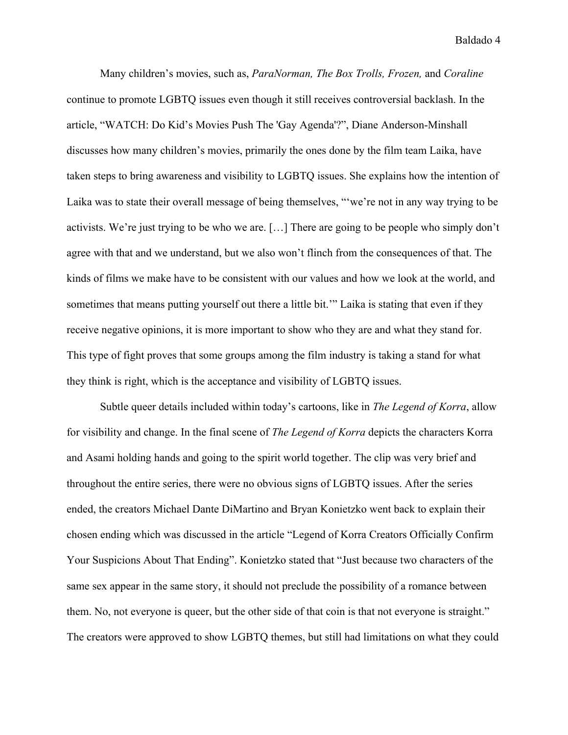Many children's movies, such as, *ParaNorman, The Box Trolls, Frozen,* and *Coraline* continue to promote LGBTQ issues even though it still receives controversial backlash. In the article, "WATCH: Do Kid's Movies Push The 'Gay Agenda'?", Diane Anderson-Minshall discusses how many children's movies, primarily the ones done by the film team Laika, have taken steps to bring awareness and visibility to LGBTQ issues. She explains how the intention of Laika was to state their overall message of being themselves, "'we're not in any way trying to be activists. We're just trying to be who we are. […] There are going to be people who simply don't agree with that and we understand, but we also won't flinch from the consequences of that. The kinds of films we make have to be consistent with our values and how we look at the world, and sometimes that means putting yourself out there a little bit.'" Laika is stating that even if they receive negative opinions, it is more important to show who they are and what they stand for. This type of fight proves that some groups among the film industry is taking a stand for what they think is right, which is the acceptance and visibility of LGBTQ issues.

Subtle queer details included within today's cartoons, like in *The Legend of Korra*, allow for visibility and change. In the final scene of *The Legend of Korra* depicts the characters Korra and Asami holding hands and going to the spirit world together. The clip was very brief and throughout the entire series, there were no obvious signs of LGBTQ issues. After the series ended, the creators Michael Dante DiMartino and Bryan Konietzko went back to explain their chosen ending which was discussed in the article "Legend of Korra Creators Officially Confirm Your Suspicions About That Ending". Konietzko stated that "Just because two characters of the same sex appear in the same story, it should not preclude the possibility of a romance between them. No, not everyone is queer, but the other side of that coin is that not everyone is straight." The creators were approved to show LGBTQ themes, but still had limitations on what they could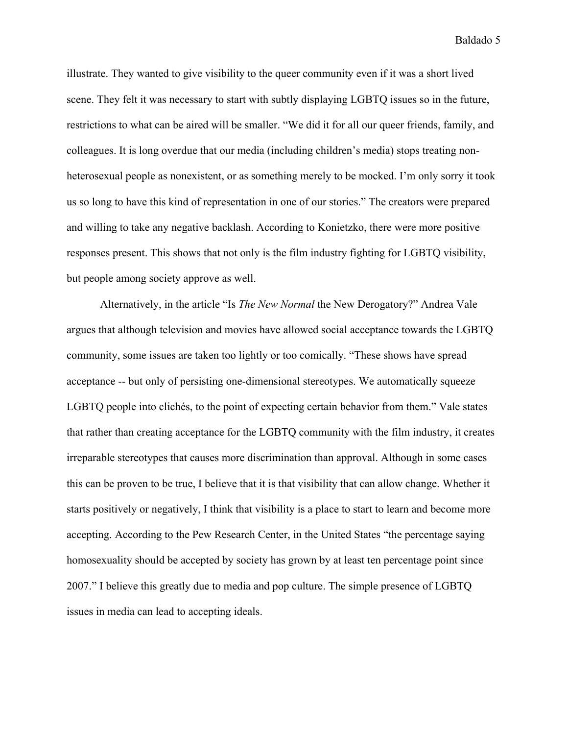illustrate. They wanted to give visibility to the queer community even if it was a short lived scene. They felt it was necessary to start with subtly displaying LGBTQ issues so in the future, restrictions to what can be aired will be smaller. "We did it for all our queer friends, family, and colleagues. It is long overdue that our media (including children's media) stops treating nonheterosexual people as nonexistent, or as something merely to be mocked. I'm only sorry it took us so long to have this kind of representation in one of our stories." The creators were prepared and willing to take any negative backlash. According to Konietzko, there were more positive responses present. This shows that not only is the film industry fighting for LGBTQ visibility, but people among society approve as well.

Alternatively, in the article "Is *The New Normal* the New Derogatory?" Andrea Vale argues that although television and movies have allowed social acceptance towards the LGBTQ community, some issues are taken too lightly or too comically. "These shows have spread acceptance -- but only of persisting one-dimensional stereotypes. We automatically squeeze LGBTQ people into clichés, to the point of expecting certain behavior from them." Vale states that rather than creating acceptance for the LGBTQ community with the film industry, it creates irreparable stereotypes that causes more discrimination than approval. Although in some cases this can be proven to be true, I believe that it is that visibility that can allow change. Whether it starts positively or negatively, I think that visibility is a place to start to learn and become more accepting. According to the Pew Research Center, in the United States "the percentage saying homosexuality should be accepted by society has grown by at least ten percentage point since 2007." I believe this greatly due to media and pop culture. The simple presence of LGBTQ issues in media can lead to accepting ideals.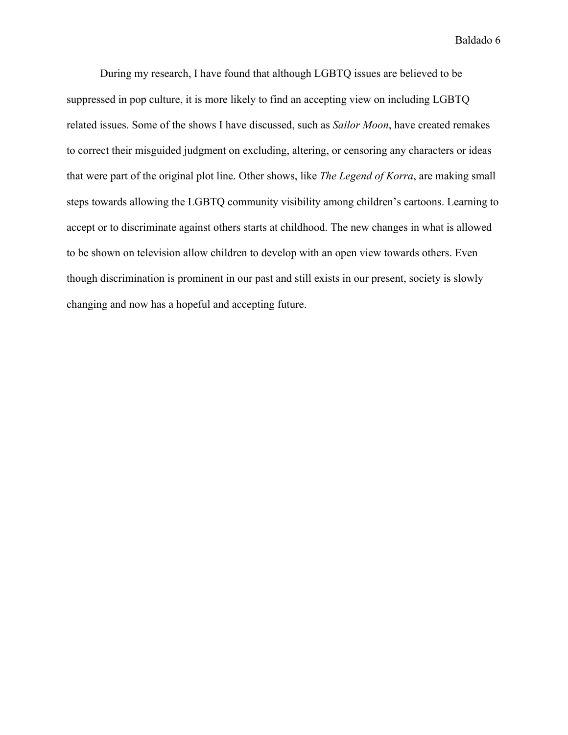During my research, I have found that although LGBTQ issues are believed to be suppressed in pop culture, it is more likely to find an accepting view on including LGBTQ related issues. Some of the shows I have discussed, such as *Sailor Moon*, have created remakes to correct their misguided judgment on excluding, altering, or censoring any characters or ideas that were part of the original plot line. Other shows, like *The Legend of Korra*, are making small steps towards allowing the LGBTQ community visibility among children's cartoons. Learning to accept or to discriminate against others starts at childhood. The new changes in what is allowed to be shown on television allow children to develop with an open view towards others. Even though discrimination is prominent in our past and still exists in our present, society is slowly changing and now has a hopeful and accepting future.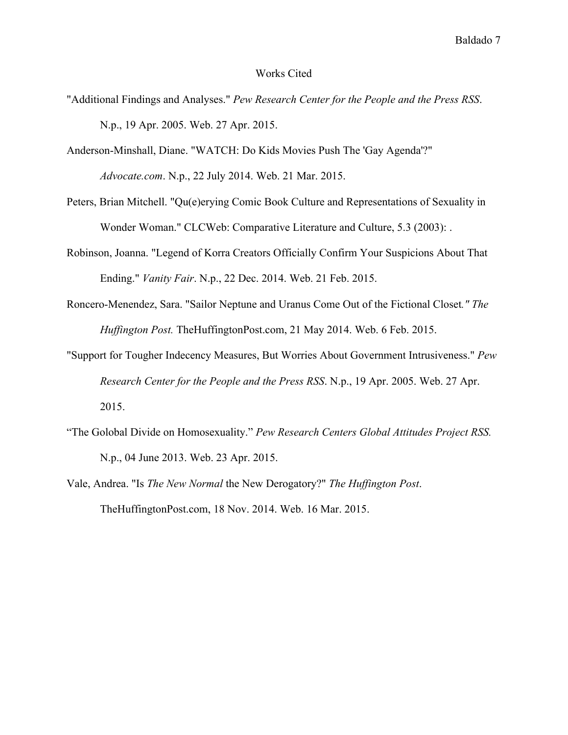## Works Cited

- "Additional Findings and Analyses." *Pew Research Center for the People and the Press RSS*. N.p., 19 Apr. 2005. Web. 27 Apr. 2015.
- Anderson-Minshall, Diane. "WATCH: Do Kids Movies Push The 'Gay Agenda'?" *Advocate.com*. N.p., 22 July 2014. Web. 21 Mar. 2015.
- Peters, Brian Mitchell. "Qu(e)erying Comic Book Culture and Representations of Sexuality in Wonder Woman." CLCWeb: Comparative Literature and Culture, 5.3 (2003): .
- Robinson, Joanna. "Legend of Korra Creators Officially Confirm Your Suspicions About That Ending." *Vanity Fair*. N.p., 22 Dec. 2014. Web. 21 Feb. 2015.
- Roncero-Menendez, Sara. "Sailor Neptune and Uranus Come Out of the Fictional Closet*." The Huffington Post.* TheHuffingtonPost.com, 21 May 2014. Web. 6 Feb. 2015.
- "Support for Tougher Indecency Measures, But Worries About Government Intrusiveness." *Pew Research Center for the People and the Press RSS*. N.p., 19 Apr. 2005. Web. 27 Apr. 2015.
- "The Golobal Divide on Homosexuality." *Pew Research Centers Global Attitudes Project RSS.* N.p., 04 June 2013. Web. 23 Apr. 2015.
- Vale, Andrea. "Is *The New Normal* the New Derogatory?" *The Huffington Post*. TheHuffingtonPost.com, 18 Nov. 2014. Web. 16 Mar. 2015.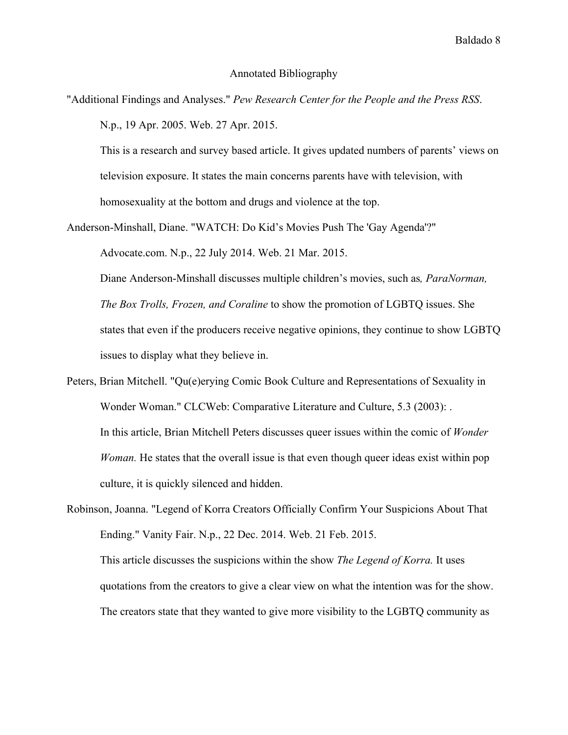## Annotated Bibliography

"Additional Findings and Analyses." *Pew Research Center for the People and the Press RSS*. N.p., 19 Apr. 2005. Web. 27 Apr. 2015.

This is a research and survey based article. It gives updated numbers of parents' views on television exposure. It states the main concerns parents have with television, with homosexuality at the bottom and drugs and violence at the top.

Anderson-Minshall, Diane. "WATCH: Do Kid's Movies Push The 'Gay Agenda'?"

Advocate.com. N.p., 22 July 2014. Web. 21 Mar. 2015.

Diane Anderson-Minshall discusses multiple children's movies, such as*, ParaNorman, The Box Trolls, Frozen, and Coraline* to show the promotion of LGBTQ issues. She states that even if the producers receive negative opinions, they continue to show LGBTQ issues to display what they believe in.

Peters, Brian Mitchell. "Qu(e)erying Comic Book Culture and Representations of Sexuality in Wonder Woman." CLCWeb: Comparative Literature and Culture, 5.3 (2003): . In this article, Brian Mitchell Peters discusses queer issues within the comic of *Wonder Woman.* He states that the overall issue is that even though queer ideas exist within pop culture, it is quickly silenced and hidden.

Robinson, Joanna. "Legend of Korra Creators Officially Confirm Your Suspicions About That Ending." Vanity Fair. N.p., 22 Dec. 2014. Web. 21 Feb. 2015. This article discusses the suspicions within the show *The Legend of Korra.* It uses quotations from the creators to give a clear view on what the intention was for the show. The creators state that they wanted to give more visibility to the LGBTQ community as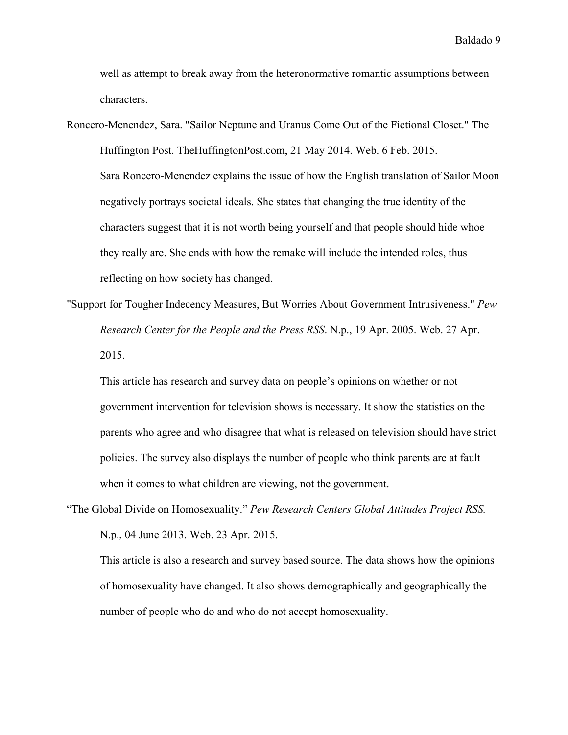well as attempt to break away from the heteronormative romantic assumptions between characters.

- Roncero-Menendez, Sara. "Sailor Neptune and Uranus Come Out of the Fictional Closet." The Huffington Post. TheHuffingtonPost.com, 21 May 2014. Web. 6 Feb. 2015. Sara Roncero-Menendez explains the issue of how the English translation of Sailor Moon negatively portrays societal ideals. She states that changing the true identity of the characters suggest that it is not worth being yourself and that people should hide whoe they really are. She ends with how the remake will include the intended roles, thus reflecting on how society has changed.
- "Support for Tougher Indecency Measures, But Worries About Government Intrusiveness." *Pew Research Center for the People and the Press RSS*. N.p., 19 Apr. 2005. Web. 27 Apr. 2015.

This article has research and survey data on people's opinions on whether or not government intervention for television shows is necessary. It show the statistics on the parents who agree and who disagree that what is released on television should have strict policies. The survey also displays the number of people who think parents are at fault when it comes to what children are viewing, not the government.

"The Global Divide on Homosexuality." *Pew Research Centers Global Attitudes Project RSS.* N.p., 04 June 2013. Web. 23 Apr. 2015.

This article is also a research and survey based source. The data shows how the opinions of homosexuality have changed. It also shows demographically and geographically the number of people who do and who do not accept homosexuality.